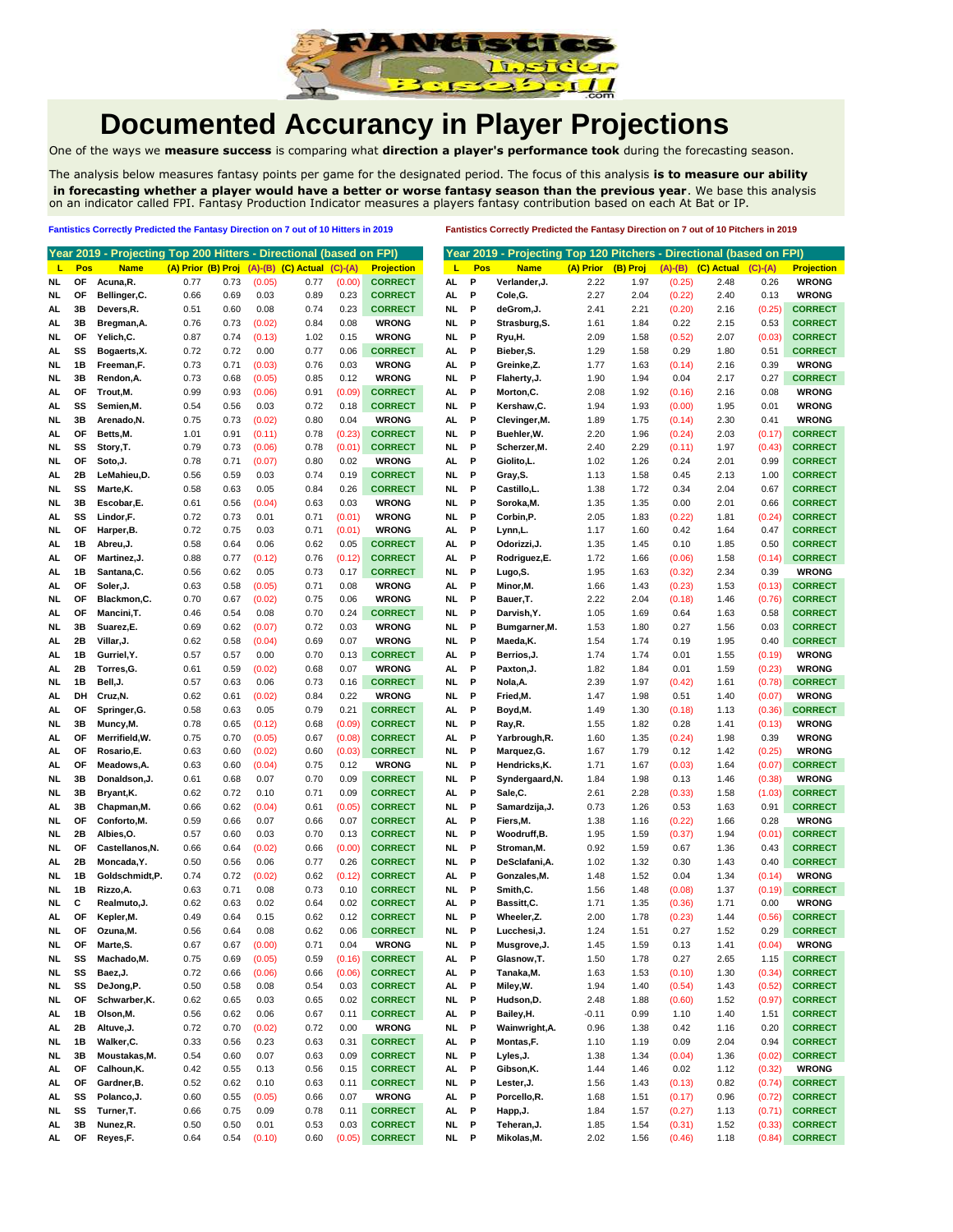

## **Documented Accurancy in Player Projections**

One of the ways we **measure success** is comparing what **direction a player's performance took** during the forecasting season.

The analysis below measures fantasy points per game for the designated period. The focus of this analysis **is to measure our ability in forecasting whether a player would have a better or worse fantasy season than the previous year**. We base this analysis on an indicator called FPI. Fantasy Production Indicator measures a players fantasy contribution based on each At Bat or IP.

## **Fantistics Correctly Predicted the Fantasy Direction on 7 out of 10 Hitters in 2019 Fantistics Correctly Predicted the Fantasy Direction on 7 out of 10 Pitchers in 2019**

|           |     | Year 2019 - Projecting Top 200 Hitters - Directional (based on FPI) |                    |      |        |                            |           |                   |           |     | Year 2019 - Projecting Top 120 Pitchers - Directional (based on FPI) |           |          |           |            |           |                   |
|-----------|-----|---------------------------------------------------------------------|--------------------|------|--------|----------------------------|-----------|-------------------|-----------|-----|----------------------------------------------------------------------|-----------|----------|-----------|------------|-----------|-------------------|
| L         | Pos | <b>Name</b>                                                         | (A) Prior (B) Proj |      |        | $(A)$ - $(B)$ $(C)$ Actual | $(C)-(A)$ | <b>Projection</b> | L         | Pos | <b>Name</b>                                                          | (A) Prior | (B) Proj | $(A)-(B)$ | (C) Actual | $(C)-(A)$ | <b>Projection</b> |
| NL        | OF  | Acuna, R.                                                           | 0.77               | 0.73 | (0.05) | 0.77                       | (0.00)    | <b>CORRECT</b>    | AL        | Р   | Verlander, J.                                                        | 2.22      | 1.97     | (0.25)    | 2.48       | 0.26      | <b>WRONG</b>      |
| NL        | ΟF  | Bellinger, C.                                                       | 0.66               | 0.69 | 0.03   | 0.89                       | 0.23      | <b>CORRECT</b>    | AL.       | P   | Cole, G.                                                             | 2.27      | 2.04     | (0.22)    | 2.40       | 0.13      | <b>WRONG</b>      |
| AL        | 3B  | Devers,R.                                                           | 0.51               | 0.60 | 0.08   | 0.74                       | 0.23      | <b>CORRECT</b>    | NL        | P   | deGrom, J.                                                           | 2.41      | 2.21     | (0.20)    | 2.16       | (0.25)    | <b>CORRECT</b>    |
|           | 3B  |                                                                     | 0.76               | 0.73 |        | 0.84                       | 0.08      | <b>WRONG</b>      | NL        | P   | Strasburg, S.                                                        | 1.61      | 1.84     | 0.22      | 2.15       | 0.53      | <b>CORRECT</b>    |
| AL        |     | Bregman, A.<br>Yelich,C.                                            |                    |      | (0.02) |                            |           | <b>WRONG</b>      |           | P   |                                                                      |           |          |           |            |           | <b>CORRECT</b>    |
| NL        | ОF  |                                                                     | 0.87               | 0.74 | (0.13) | 1.02                       | 0.15      | <b>CORRECT</b>    | NL        |     | Ryu,H.<br>Bieber.S.                                                  | 2.09      | 1.58     | (0.52)    | 2.07       | (0.03)    |                   |
| AL        | SS  | Bogaerts, X.                                                        | 0.72               | 0.72 | 0.00   | 0.77                       | 0.06      |                   | AL        | P   |                                                                      | 1.29      | 1.58     | 0.29      | 1.80       | 0.51      | <b>CORRECT</b>    |
| NL        | 1В  | Freeman,F.                                                          | 0.73               | 0.71 | (0.03) | 0.76                       | 0.03      | <b>WRONG</b>      | AL.       | P   | Greinke,Z.                                                           | 1.77      | 1.63     | (0.14)    | 2.16       | 0.39      | <b>WRONG</b>      |
| NL        | 3B  | Rendon, A.                                                          | 0.73               | 0.68 | (0.05) | 0.85                       | 0.12      | <b>WRONG</b>      | NL        | P   | Flaherty, J.                                                         | 1.90      | 1.94     | 0.04      | 2.17       | 0.27      | <b>CORRECT</b>    |
| AL        | ΟF  | Trout, M.                                                           | 0.99               | 0.93 | (0.06) | 0.91                       | (0.09)    | <b>CORRECT</b>    | AL        | P   | Morton, C.                                                           | 2.08      | 1.92     | (0.16)    | 2.16       | 0.08      | <b>WRONG</b>      |
| AL        | SS  | Semien, M.                                                          | 0.54               | 0.56 | 0.03   | 0.72                       | 0.18      | <b>CORRECT</b>    | NL        | P   | Kershaw, C.                                                          | 1.94      | 1.93     | (0.00)    | 1.95       | 0.01      | <b>WRONG</b>      |
| NL        | 3B  | Arenado, N.                                                         | 0.75               | 0.73 | (0.02) | 0.80                       | 0.04      | <b>WRONG</b>      | AL        | P   | Clevinger, M.                                                        | 1.89      | 1.75     | (0.14)    | 2.30       | 0.41      | <b>WRONG</b>      |
| AL        | ΟF  | Betts, M.                                                           | 1.01               | 0.91 | (0.11) | 0.78                       | (0.23)    | <b>CORRECT</b>    | NL        | P   | Buehler, W.                                                          | 2.20      | 1.96     | (0.24)    | 2.03       | (0.17)    | <b>CORRECT</b>    |
| NL        | SS  | Story, T.                                                           | 0.79               | 0.73 | (0.06) | 0.78                       | (0.01)    | <b>CORRECT</b>    | NL        | Р   | Scherzer, M.                                                         | 2.40      | 2.29     | (0.11)    | 1.97       | (0.43)    | <b>CORRECT</b>    |
| NL        | OF  | Soto, J.                                                            | 0.78               | 0.71 | (0.07) | 0.80                       | 0.02      | <b>WRONG</b>      | AL        | Р   | Giolito,L.                                                           | 1.02      | 1.26     | 0.24      | 2.01       | 0.99      | <b>CORRECT</b>    |
| AL        | 2Β  | LeMahieu,D.                                                         | 0.56               | 0.59 | 0.03   | 0.74                       | 0.19      | <b>CORRECT</b>    | NL        | P   | Gray, S.                                                             | 1.13      | 1.58     | 0.45      | 2.13       | 1.00      | <b>CORRECT</b>    |
| NL        | SS  | Marte, K.                                                           | 0.58               | 0.63 | 0.05   | 0.84                       | 0.26      | <b>CORRECT</b>    | NL        | P   | Castillo,L.                                                          | 1.38      | 1.72     | 0.34      | 2.04       | 0.67      | <b>CORRECT</b>    |
| NL        | 3B  | Escobar,E.                                                          | 0.61               | 0.56 | (0.04) | 0.63                       | 0.03      | <b>WRONG</b>      | NL        | P   | Soroka, M.                                                           | 1.35      | 1.35     | 0.00      | 2.01       | 0.66      | <b>CORRECT</b>    |
| AL        | SS  | Lindor,F.                                                           | 0.72               | 0.73 | 0.01   | 0.71                       | (0.01)    | <b>WRONG</b>      | NL        | P   | Corbin,P.                                                            | 2.05      | 1.83     | (0.22)    | 1.81       | (0.24)    | <b>CORRECT</b>    |
| NL        | ОF  | Harper, B.                                                          | 0.72               | 0.75 | 0.03   | 0.71                       | (0.01)    | <b>WRONG</b>      | AL        | P   | Lynn,L.                                                              | 1.17      | 1.60     | 0.42      | 1.64       | 0.47      | <b>CORRECT</b>    |
| AL        | 1В  | Abreu,J.                                                            | 0.58               | 0.64 | 0.06   | 0.62                       | 0.05      | <b>CORRECT</b>    | AL.       | P   | Odorizzi, J.                                                         | 1.35      | 1.45     | 0.10      | 1.85       | 0.50      | <b>CORRECT</b>    |
| AL        | ΟF  | Martinez, J.                                                        | 0.88               | 0.77 | (0.12) | 0.76                       | (0.12)    | <b>CORRECT</b>    | AL        | P   | Rodriguez,E.                                                         | 1.72      | 1.66     | (0.06)    | 1.58       | (0.14)    | <b>CORRECT</b>    |
| AL        | 1В  | Santana, C.                                                         | 0.56               | 0.62 | 0.05   | 0.73                       | 0.17      | <b>CORRECT</b>    | NL        | P   | Lugo,S.                                                              | 1.95      | 1.63     | (0.32)    | 2.34       | 0.39      | <b>WRONG</b>      |
| AL        | ΟF  | Soler, J.                                                           | 0.63               | 0.58 | (0.05) | 0.71                       | 0.08      | <b>WRONG</b>      | AL        | P   | Minor, M.                                                            | 1.66      | 1.43     | (0.23)    | 1.53       | (0.13)    | <b>CORRECT</b>    |
| NL        | OF  | Blackmon, C.                                                        | 0.70               | 0.67 | (0.02) | 0.75                       | 0.06      | <b>WRONG</b>      | NL        | Р   | Bauer, T.                                                            | 2.22      | 2.04     | (0.18)    | 1.46       | (0.76)    | <b>CORRECT</b>    |
| AL        | ΟF  | Mancini, T.                                                         | 0.46               | 0.54 | 0.08   | 0.70                       | 0.24      | <b>CORRECT</b>    | NL        | Р   | Darvish, Y.                                                          | 1.05      | 1.69     | 0.64      | 1.63       | 0.58      | <b>CORRECT</b>    |
|           | 3B  |                                                                     | 0.69               |      | (0.07) | 0.72                       | 0.03      | <b>WRONG</b>      | NL        | P   |                                                                      | 1.53      | 1.80     | 0.27      |            | 0.03      | <b>CORRECT</b>    |
| NL        | 2Β  | Suarez,E.                                                           | 0.62               | 0.62 |        | 0.69                       | 0.07      | <b>WRONG</b>      | NL        | P   | Bumgarner, M.                                                        |           |          |           | 1.56       | 0.40      | <b>CORRECT</b>    |
| AL        |     | Villar, J.                                                          |                    | 0.58 | (0.04) |                            |           |                   |           |     | Maeda, K.                                                            | 1.54      | 1.74     | 0.19      | 1.95       |           |                   |
| AL        | 1B  | Gurriel, Y.                                                         | 0.57               | 0.57 | 0.00   | 0.70                       | 0.13      | <b>CORRECT</b>    | AL.       | P   | Berrios, J.                                                          | 1.74      | 1.74     | 0.01      | 1.55       | (0.19)    | <b>WRONG</b>      |
| AL        | 2Β  | Torres, G.                                                          | 0.61               | 0.59 | (0.02) | 0.68                       | 0.07      | <b>WRONG</b>      | AL.       | P   | Paxton, J.                                                           | 1.82      | 1.84     | 0.01      | 1.59       | (0.23)    | <b>WRONG</b>      |
| NL        | 1B  | Bell, J.                                                            | 0.57               | 0.63 | 0.06   | 0.73                       | 0.16      | <b>CORRECT</b>    | NL        | P   | Nola, A.                                                             | 2.39      | 1.97     | (0.42)    | 1.61       | (0.78)    | <b>CORRECT</b>    |
| AL        | DH  | Cruz, N.                                                            | 0.62               | 0.61 | (0.02) | 0.84                       | 0.22      | <b>WRONG</b>      | NL        | P   | Fried, M.                                                            | 1.47      | 1.98     | 0.51      | 1.40       | (0.07)    | <b>WRONG</b>      |
| AL        | ОF  | Springer, G.                                                        | 0.58               | 0.63 | 0.05   | 0.79                       | 0.21      | <b>CORRECT</b>    | AL.       | P   | Boyd, M.                                                             | 1.49      | 1.30     | (0.18)    | 1.13       | (0.36)    | <b>CORRECT</b>    |
| NL        | 3B  | Muncy, M.                                                           | 0.78               | 0.65 | (0.12) | 0.68                       | (0.09)    | <b>CORRECT</b>    | NL        | P   | Ray,R.                                                               | 1.55      | 1.82     | 0.28      | 1.41       | (0.13)    | <b>WRONG</b>      |
| AL        | ΟF  | Merrifield, W.                                                      | 0.75               | 0.70 | (0.05) | 0.67                       | (0.08)    | <b>CORRECT</b>    | AL        | P   | Yarbrough, R.                                                        | 1.60      | 1.35     | (0.24)    | 1.98       | 0.39      | <b>WRONG</b>      |
| AL        | ΟF  | Rosario,E.                                                          | 0.63               | 0.60 | (0.02) | 0.60                       | (0.03)    | <b>CORRECT</b>    | NL        | P   | Marquez, G.                                                          | 1.67      | 1.79     | 0.12      | 1.42       | (0.25)    | <b>WRONG</b>      |
| AL        | ΟF  | Meadows, A.                                                         | 0.63               | 0.60 | (0.04) | 0.75                       | 0.12      | <b>WRONG</b>      | NL        | P   | Hendricks, K.                                                        | 1.71      | 1.67     | (0.03)    | 1.64       | (0.07)    | <b>CORRECT</b>    |
| NL        | 3B  | Donaldson, J.                                                       | 0.61               | 0.68 | 0.07   | 0.70                       | 0.09      | <b>CORRECT</b>    | NL        | P   | Syndergaard, N.                                                      | 1.84      | 1.98     | 0.13      | 1.46       | (0.38)    | <b>WRONG</b>      |
| NL        | 3B  | Bryant, K.                                                          | 0.62               | 0.72 | 0.10   | 0.71                       | 0.09      | <b>CORRECT</b>    | AL        | Р   | Sale,C.                                                              | 2.61      | 2.28     | (0.33)    | 1.58       | (1.03)    | <b>CORRECT</b>    |
| AL        | 3B  | Chapman, M.                                                         | 0.66               | 0.62 | (0.04) | 0.61                       | (0.05)    | <b>CORRECT</b>    | NL        | P   | Samardzija, J.                                                       | 0.73      | 1.26     | 0.53      | 1.63       | 0.91      | <b>CORRECT</b>    |
| NL        | OF  | Conforto, M.                                                        | 0.59               | 0.66 | 0.07   | 0.66                       | 0.07      | <b>CORRECT</b>    | AL.       | P   | Fiers, M.                                                            | 1.38      | 1.16     | (0.22)    | 1.66       | 0.28      | <b>WRONG</b>      |
| NL        | 2Β  | Albies, O.                                                          | 0.57               | 0.60 | 0.03   | 0.70                       | 0.13      | <b>CORRECT</b>    | NL        | P   | Woodruff,B.                                                          | 1.95      | 1.59     | (0.37)    | 1.94       | (0.01)    | <b>CORRECT</b>    |
| NL        | ΟF  | Castellanos, N.                                                     | 0.66               | 0.64 | (0.02) | 0.66                       | (0.00)    | <b>CORRECT</b>    | NL        | P   | Stroman, M.                                                          | 0.92      | 1.59     | 0.67      | 1.36       | 0.43      | <b>CORRECT</b>    |
| AL        | 2Β  | Moncada, Y.                                                         | 0.50               | 0.56 | 0.06   | 0.77                       | 0.26      | <b>CORRECT</b>    | NL        | P   | DeSclafani, A.                                                       | 1.02      | 1.32     | 0.30      | 1.43       | 0.40      | <b>CORRECT</b>    |
| NL        | 1В  | Goldschmidt,P.                                                      | 0.74               | 0.72 | (0.02) | 0.62                       | (0.12)    | <b>CORRECT</b>    | AL        | P   | Gonzales, M.                                                         | 1.48      | 1.52     | 0.04      | 1.34       | (0.14)    | <b>WRONG</b>      |
| NL        | 1В  | Rizzo, A.                                                           | 0.63               | 0.71 | 0.08   | 0.73                       | 0.10      | <b>CORRECT</b>    | NL        | P   | Smith, C.                                                            | 1.56      | 1.48     | (0.08)    | 1.37       | (0.19)    | <b>CORRECT</b>    |
| NL        | С   | Realmuto, J.                                                        | 0.62               | 0.63 | 0.02   | 0.64                       | 0.02      | <b>CORRECT</b>    | AL        | Р   | Bassitt,C.                                                           | 1.71      | 1.35     | (0.36)    | 1.71       | 0.00      | <b>WRONG</b>      |
| AL        | ОF  | Kepler, M.                                                          | 0.49               | 0.64 | 0.15   | 0.62                       | 0.12      | <b>CORRECT</b>    | NL        | P   | Wheeler,Z.                                                           | 2.00      | 1.78     | (0.23)    | 1.44       | (0.56)    | <b>CORRECT</b>    |
| NL.       | OF  | Ozuna, M.                                                           | 0.56               | 0.64 | 0.08   | 0.62                       | 0.06      | <b>CORRECT</b>    | NL        | P   | Lucchesi, J.                                                         | 1.24      | 1.51     | 0.27      | 1.52       | 0.29      | <b>CORRECT</b>    |
| <b>NL</b> | ОF  | Marte, S.                                                           | 0.67               | 0.67 | (0.00) | 0.71                       | 0.04      | <b>WRONG</b>      | NL        | P   | Musgrove, J.                                                         | 1.45      | 1.59     | 0.13      | 1.41       | (0.04)    | <b>WRONG</b>      |
| NL.       | SS  | Machado, M.                                                         | 0.75               | 0.69 | (0.05) | 0.59                       | (0.16)    | <b>CORRECT</b>    | AL.       | P   | Glasnow, T.                                                          | 1.50      | 1.78     | 0.27      | 2.65       | 1.15      | <b>CORRECT</b>    |
|           | SS  | Baez, J.                                                            | 0.72               |      |        | 0.66                       | (0.06)    |                   |           | P   | Tanaka, M.                                                           |           |          |           |            | (0.34)    | <b>CORRECT</b>    |
| NL        |     |                                                                     |                    | 0.66 | (0.06) |                            |           | <b>CORRECT</b>    | AL.       |     | Miley, W.                                                            | 1.63      | 1.53     | (0.10)    | 1.30       |           |                   |
| NL        | SS  | DeJong,P.                                                           | 0.50               | 0.58 | 0.08   | 0.54                       | 0.03      | <b>CORRECT</b>    | AL.       | P   |                                                                      | 1.94      | 1.40     | (0.54)    | 1.43       | (0.52)    | <b>CORRECT</b>    |
| NL.       | OF  | Schwarber, K.                                                       | 0.62               | 0.65 | 0.03   | 0.65                       | 0.02      | <b>CORRECT</b>    | <b>NL</b> | P   | Hudson, D.                                                           | 2.48      | 1.88     | (0.60)    | 1.52       | (0.97)    | <b>CORRECT</b>    |
| AL.       | 1B  | Olson, M.                                                           | 0.56               | 0.62 | 0.06   | 0.67                       | 0.11      | <b>CORRECT</b>    | AL.       | P   | Bailey, H.                                                           | -0.11     | 0.99     | 1.10      | 1.40       | 1.51      | <b>CORRECT</b>    |
| AL.       | 2B  | Altuve, J.                                                          | 0.72               | 0.70 | (0.02) | 0.72                       | 0.00      | <b>WRONG</b>      | <b>NL</b> | P   | Wainwright, A.                                                       | 0.96      | 1.38     | 0.42      | 1.16       | 0.20      | <b>CORRECT</b>    |
| NL        | 1B  | Walker, C.                                                          | 0.33               | 0.56 | 0.23   | 0.63                       | 0.31      | <b>CORRECT</b>    | AL        | P   | Montas,F.                                                            | 1.10      | 1.19     | 0.09      | 2.04       | 0.94      | <b>CORRECT</b>    |
| NL.       | 3B  | Moustakas, M.                                                       | 0.54               | 0.60 | 0.07   | 0.63                       | 0.09      | <b>CORRECT</b>    | <b>NL</b> | P   | Lyles, J.                                                            | 1.38      | 1.34     | (0.04)    | 1.36       | (0.02)    | <b>CORRECT</b>    |
| AL        | OF  | Calhoun, K.                                                         | 0.42               | 0.55 | 0.13   | 0.56                       | 0.15      | <b>CORRECT</b>    | AL        | P   | Gibson, K.                                                           | 1.44      | 1.46     | 0.02      | 1.12       | (0.32)    | <b>WRONG</b>      |
| AL        | OF  | Gardner, B.                                                         | 0.52               | 0.62 | 0.10   | 0.63                       | 0.11      | <b>CORRECT</b>    | <b>NL</b> | P   | Lester, J.                                                           | 1.56      | 1.43     | (0.13)    | 0.82       | (0.74)    | <b>CORRECT</b>    |
| AL        | SS  | Polanco, J.                                                         | 0.60               | 0.55 | (0.05) | 0.66                       | 0.07      | <b>WRONG</b>      | AL        | P   | Porcello,R.                                                          | 1.68      | 1.51     | (0.17)    | 0.96       | (0.72)    | <b>CORRECT</b>    |
| NL        | SS  | Turner, T.                                                          | 0.66               | 0.75 | 0.09   | 0.78                       | 0.11      | <b>CORRECT</b>    | AL.       | P   | Happ, J.                                                             | 1.84      | 1.57     | (0.27)    | 1.13       | (0.71)    | <b>CORRECT</b>    |
| AL.       | 3B  | Nunez,R.                                                            | 0.50               | 0.50 | 0.01   | 0.53                       | 0.03      | <b>CORRECT</b>    | NL        | P   | Teheran, J.                                                          | 1.85      | 1.54     | (0.31)    | 1.52       | (0.33)    | <b>CORRECT</b>    |
| AL        | OF  | Reyes,F.                                                            | 0.64               | 0.54 | (0.10) | 0.60                       | (0.05)    | <b>CORRECT</b>    | NL P      |     | Mikolas, M.                                                          | 2.02      | 1.56     | (0.46)    | 1.18       | (0.84)    | <b>CORRECT</b>    |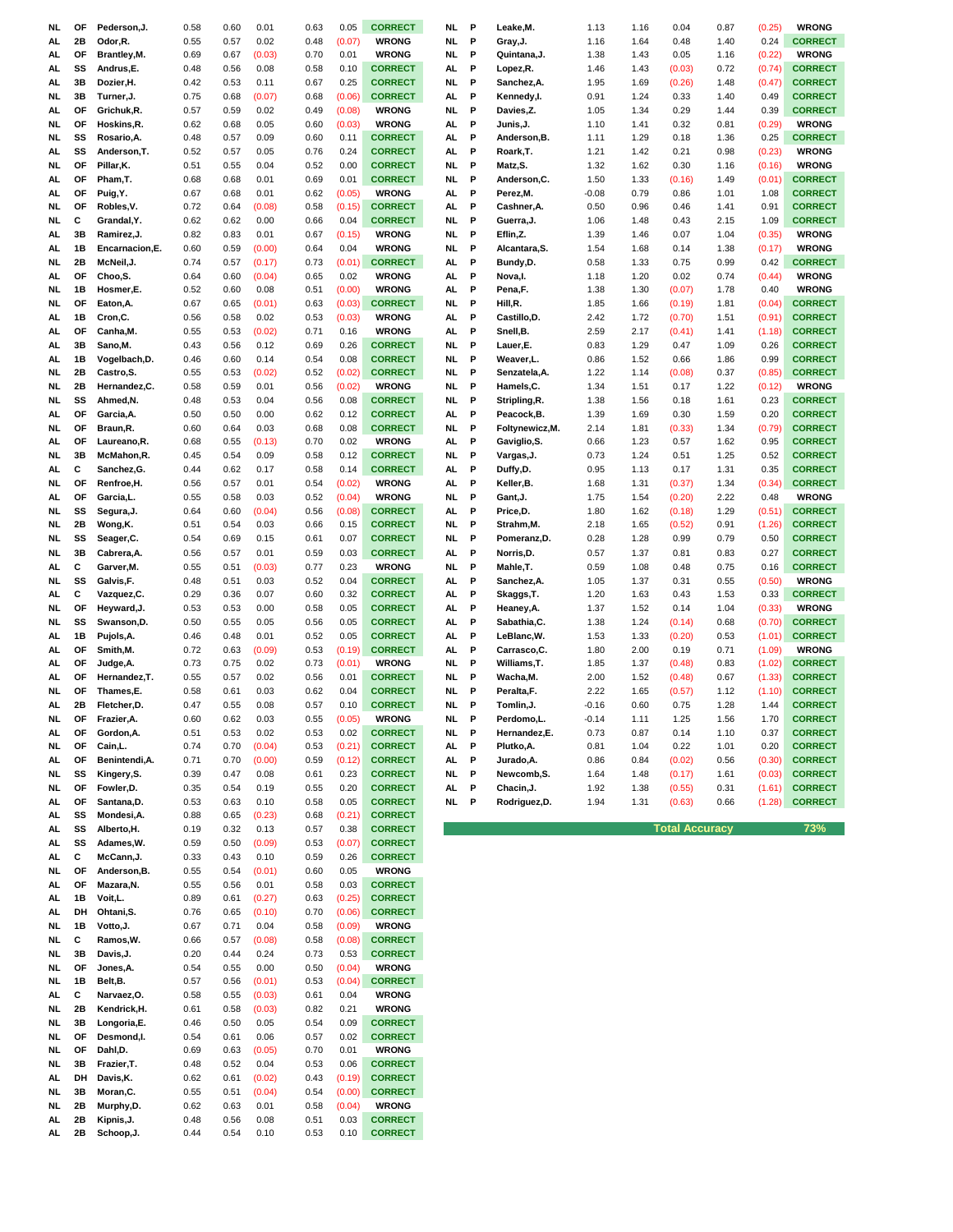| NL       | OF       | Pederson, J.            | 0.58         | 0.60         | 0.01         | 0.63         | 0.05           | <b>CORRECT</b>                 | NL   | P | Leake,M.        | 1.13    | 1.16 | 0.04                  | 0.87 | (0.25) | <b>WRONG</b>   |
|----------|----------|-------------------------|--------------|--------------|--------------|--------------|----------------|--------------------------------|------|---|-----------------|---------|------|-----------------------|------|--------|----------------|
| AL       | 2Β       | Odor, R.                | 0.55         | 0.57         | 0.02         | 0.48         | (0.07)         | <b>WRONG</b>                   | NL   | P | Gray, J.        | 1.16    | 1.64 | 0.48                  | 1.40 | 0.24   | <b>CORRECT</b> |
| AL       | OF       | Brantley, M.            | 0.69         | 0.67         | (0.03)       | 0.70         | 0.01           | <b>WRONG</b>                   | NL.  | P | Quintana, J.    | 1.38    | 1.43 | 0.05                  | 1.16 | (0.22) | <b>WRONG</b>   |
| AL       | SS       | Andrus,E.               | 0.48         | 0.56         | 0.08         | 0.58         | 0.10           | <b>CORRECT</b>                 | AL   | P | Lopez,R.        | 1.46    | 1.43 | (0.03)                | 0.72 | (0.74) | <b>CORRECT</b> |
| AL       | 3B       | Dozier, H.              | 0.42         | 0.53         | 0.11         | 0.67         | 0.25           | <b>CORRECT</b>                 | NL.  | P | Sanchez, A.     | 1.95    | 1.69 | (0.26)                | 1.48 | (0.47) | <b>CORRECT</b> |
| NL.      | 3B       | Turner, J.              | 0.75         | 0.68         | (0.07)       | 0.68         | (0.06)         | <b>CORRECT</b>                 | AL.  | P | Kennedy,l.      | 0.91    | 1.24 | 0.33                  | 1.40 | 0.49   | <b>CORRECT</b> |
| AL       | OF       | Grichuk, R.             | 0.57         | 0.59         | 0.02         | 0.49         | (0.08)         | <b>WRONG</b>                   | NL.  | P | Davies,Z.       | 1.05    | 1.34 | 0.29                  | 1.44 | 0.39   | <b>CORRECT</b> |
| NL       | OF       | Hoskins, R.             | 0.62         | 0.68         | 0.05         | 0.60         | (0.03)         | <b>WRONG</b>                   | AL.  | P | Junis,J.        | 1.10    | 1.41 | 0.32                  | 0.81 | (0.29) | <b>WRONG</b>   |
| NL       | SS       | Rosario, A.             | 0.48         | 0.57         | 0.09         | 0.60         | 0.11           | <b>CORRECT</b>                 | AL.  | P | Anderson,B.     | 1.11    | 1.29 | 0.18                  | 1.36 | 0.25   | <b>CORRECT</b> |
|          | SS       |                         | 0.52         |              |              | 0.76         | 0.24           | <b>CORRECT</b>                 | AL.  | P |                 |         | 1.42 |                       |      |        | <b>WRONG</b>   |
| AL       |          | Anderson, T.            |              | 0.57         | 0.05         |              |                |                                |      |   | Roark,T.        | 1.21    |      | 0.21                  | 0.98 | (0.23) |                |
| NL.      | OF       | Pillar, K.              | 0.51         | 0.55         | 0.04         | 0.52         | 0.00           | <b>CORRECT</b>                 | NL.  | P | Matz, S.        | 1.32    | 1.62 | 0.30                  | 1.16 | (0.16) | <b>WRONG</b>   |
| AL       | OF       | Pham, T.                | 0.68         | 0.68         | 0.01         | 0.69         | 0.01           | <b>CORRECT</b>                 | NL.  | P | Anderson,C.     | 1.50    | 1.33 | (0.16)                | 1.49 | (0.01) | <b>CORRECT</b> |
| AL       | OF       | Puig, Y.                | 0.67         | 0.68         | 0.01         | 0.62         | (0.05)         | <b>WRONG</b>                   | AL.  | P | Perez, M.       | $-0.08$ | 0.79 | 0.86                  | 1.01 | 1.08   | <b>CORRECT</b> |
| NL.      | OF       | Robles, V.              | 0.72         | 0.64         | (0.08)       | 0.58         | (0.15)         | <b>CORRECT</b>                 | AL   | P | Cashner, A.     | 0.50    | 0.96 | 0.46                  | 1.41 | 0.91   | <b>CORRECT</b> |
| NL.      | С        | Grandal, Y.             | 0.62         | 0.62         | 0.00         | 0.66         | 0.04           | <b>CORRECT</b>                 | NL   | P | Guerra, J.      | 1.06    | 1.48 | 0.43                  | 2.15 | 1.09   | <b>CORRECT</b> |
| AL       | 3B       | Ramirez, J.             | 0.82         | 0.83         | 0.01         | 0.67         | (0.15)         | <b>WRONG</b>                   | NL.  | P | Eflin,Z.        | 1.39    | 1.46 | 0.07                  | 1.04 | (0.35) | <b>WRONG</b>   |
| AL.      | 1В       | Encarnacion, E.         | 0.60         | 0.59         | (0.00)       | 0.64         | 0.04           | <b>WRONG</b>                   | NL   | P | Alcantara, S.   | 1.54    | 1.68 | 0.14                  | 1.38 | (0.17) | <b>WRONG</b>   |
| NL.      | 2Β       | McNeil, J.              | 0.74         | 0.57         | (0.17)       | 0.73         | (0.01)         | <b>CORRECT</b>                 | AL.  | P | Bundy,D.        | 0.58    | 1.33 | 0.75                  | 0.99 | 0.42   | <b>CORRECT</b> |
| AL.      | OF       | Choo,S.                 | 0.64         | 0.60         | (0.04)       | 0.65         | 0.02           | <b>WRONG</b>                   | AL.  | P | Nova,I.         | 1.18    | 1.20 | 0.02                  | 0.74 | (0.44) | <b>WRONG</b>   |
| NL.      | 1В       | Hosmer,E.               | 0.52         | 0.60         | 0.08         | 0.51         | (0.00)         | <b>WRONG</b>                   | AL.  | P | Pena,F.         | 1.38    | 1.30 | (0.07)                | 1.78 | 0.40   | <b>WRONG</b>   |
| NL.      | OF       | Eaton, A.               | 0.67         | 0.65         | (0.01)       | 0.63         | (0.03)         | <b>CORRECT</b>                 | NL.  | P | Hill,R.         | 1.85    | 1.66 | (0.19)                | 1.81 | (0.04) | <b>CORRECT</b> |
| AL       | 1В       | Cron,C.                 | 0.56         | 0.58         | 0.02         | 0.53         | (0.03)         | <b>WRONG</b>                   | AL.  | P | Castillo,D.     | 2.42    | 1.72 | (0.70)                | 1.51 | (0.91) | <b>CORRECT</b> |
| AL       | OF       | Canha,M.                | 0.55         | 0.53         | (0.02)       | 0.71         | 0.16           | <b>WRONG</b>                   | AL   | P | Snell, B.       | 2.59    | 2.17 | (0.41)                | 1.41 | (1.18) | <b>CORRECT</b> |
| AL       | 3B       | Sano,M.                 | 0.43         | 0.56         | 0.12         | 0.69         | 0.26           | <b>CORRECT</b>                 | NL.  | P | Lauer,E.        | 0.83    | 1.29 | 0.47                  | 1.09 | 0.26   | <b>CORRECT</b> |
|          | 1В       | Vogelbach, D.           |              | 0.60         | 0.14         | 0.54         | 0.08           | <b>CORRECT</b>                 | NL.  | P |                 | 0.86    | 1.52 | 0.66                  |      | 0.99   | <b>CORRECT</b> |
| AL       |          |                         | 0.46         |              |              |              |                |                                |      |   | Weaver,L.       |         |      |                       | 1.86 |        | <b>CORRECT</b> |
| NL       | 2Β       | Castro,S.               | 0.55         | 0.53         | (0.02)       | 0.52         | (0.02)         | <b>CORRECT</b>                 | NL.  | P | Senzatela,A.    | 1.22    | 1.14 | (0.08)                | 0.37 | (0.85) |                |
| NL       | 2Β       | Hernandez,C.            | 0.58         | 0.59         | 0.01         | 0.56         | (0.02)         | <b>WRONG</b>                   | NL   | P | Hamels,C.       | 1.34    | 1.51 | 0.17                  | 1.22 | (0.12) | <b>WRONG</b>   |
| NL       | SS       | Ahmed, N.               | 0.48         | 0.53         | 0.04         | 0.56         | 0.08           | <b>CORRECT</b>                 | NL   | P | Stripling, R.   | 1.38    | 1.56 | 0.18                  | 1.61 | 0.23   | <b>CORRECT</b> |
| AL       | OF       | Garcia, A.              | 0.50         | 0.50         | 0.00         | 0.62         | 0.12           | <b>CORRECT</b>                 | AL   | P | Peacock,B.      | 1.39    | 1.69 | 0.30                  | 1.59 | 0.20   | <b>CORRECT</b> |
| NL       | OF       | Braun, R.               | 0.60         | 0.64         | 0.03         | 0.68         | 0.08           | <b>CORRECT</b>                 | NL.  | P | Foltynewicz, M. | 2.14    | 1.81 | (0.33)                | 1.34 | (0.79) | <b>CORRECT</b> |
| AL.      | ΟF       | Laureano, R.            | 0.68         | 0.55         | (0.13)       | 0.70         | 0.02           | <b>WRONG</b>                   | AL.  | P | Gaviglio, S.    | 0.66    | 1.23 | 0.57                  | 1.62 | 0.95   | <b>CORRECT</b> |
| NL.      | 3B       | McMahon,R.              | 0.45         | 0.54         | 0.09         | 0.58         | 0.12           | <b>CORRECT</b>                 | NL.  | P | Vargas, J.      | 0.73    | 1.24 | 0.51                  | 1.25 | 0.52   | <b>CORRECT</b> |
| AL.      | С        | Sanchez, G.             | 0.44         | 0.62         | 0.17         | 0.58         | 0.14           | <b>CORRECT</b>                 | AL.  | P | Duffy,D.        | 0.95    | 1.13 | 0.17                  | 1.31 | 0.35   | <b>CORRECT</b> |
| NL.      | OF       | Renfroe, H.             | 0.56         | 0.57         | 0.01         | 0.54         | (0.02)         | <b>WRONG</b>                   | AL.  | P | Keller, B.      | 1.68    | 1.31 | (0.37)                | 1.34 | (0.34) | <b>CORRECT</b> |
| AL       | ΟF       | Garcia,L.               | 0.55         | 0.58         | 0.03         | 0.52         | (0.04)         | <b>WRONG</b>                   | NL.  | P | Gant,J.         | 1.75    | 1.54 | (0.20)                | 2.22 | 0.48   | <b>WRONG</b>   |
| NL.      | SS       | Segura,J.               | 0.64         | 0.60         | (0.04)       | 0.56         | (0.08)         | <b>CORRECT</b>                 | AL   | P | Price,D.        | 1.80    | 1.62 | (0.18)                | 1.29 | (0.51) | <b>CORRECT</b> |
| NL.      | 2Β       | Wong, K.                | 0.51         | 0.54         | 0.03         | 0.66         | 0.15           | <b>CORRECT</b>                 | NL.  | P | Strahm,M.       | 2.18    | 1.65 | (0.52)                | 0.91 | (1.26) | <b>CORRECT</b> |
| NL.      | SS       | Seager,C.               | 0.54         | 0.69         | 0.15         | 0.61         | 0.07           | <b>CORRECT</b>                 | NL.  | P | Pomeranz,D.     | 0.28    | 1.28 | 0.99                  | 0.79 | 0.50   | <b>CORRECT</b> |
|          | 3B       | Cabrera, A.             | 0.56         | 0.57         |              | 0.59         |                | <b>CORRECT</b>                 | AL.  | P |                 | 0.57    |      |                       |      |        | <b>CORRECT</b> |
|          |          |                         |              |              |              |              |                |                                |      |   |                 |         |      |                       |      |        |                |
| NL.      |          |                         |              |              | 0.01         |              | 0.03           |                                |      |   | Norris,D.       |         | 1.37 | 0.81                  | 0.83 | 0.27   |                |
| AL       | С        | Garver, M.              | 0.55         | 0.51         | (0.03)       | 0.77         | 0.23           | <b>WRONG</b>                   | NL.  | P | Mahle,T.        | 0.59    | 1.08 | 0.48                  | 0.75 | 0.16   | <b>CORRECT</b> |
| NL.      | SS       | Galvis, F.              | 0.48         | 0.51         | 0.03         | 0.52         | 0.04           | <b>CORRECT</b>                 | AL.  | P | Sanchez, A.     | 1.05    | 1.37 | 0.31                  | 0.55 | (0.50) | <b>WRONG</b>   |
| AL.      | С        | Vazquez,C.              | 0.29         | 0.36         | 0.07         | 0.60         | 0.32           | <b>CORRECT</b>                 | AL.  | P | Skaggs,T.       | 1.20    | 1.63 | 0.43                  | 1.53 | 0.33   | <b>CORRECT</b> |
| NL.      | OF       | Heyward, J.             | 0.53         | 0.53         | 0.00         | 0.58         | 0.05           | <b>CORRECT</b>                 | AL.  | P | Heaney, A.      | 1.37    | 1.52 | 0.14                  | 1.04 | (0.33) | <b>WRONG</b>   |
| NL.      | SS       | Swanson, D.             | 0.50         | 0.55         | 0.05         | 0.56         | 0.05           | <b>CORRECT</b>                 | AL   | P | Sabathia, C.    | 1.38    | 1.24 | (0.14)                | 0.68 | (0.70) | <b>CORRECT</b> |
| AL       | 1B       | Pujols, A.              | 0.46         | 0.48         | 0.01         | 0.52         | 0.05           | <b>CORRECT</b>                 | AL.  | P | LeBlanc, W.     | 1.53    | 1.33 | (0.20)                | 0.53 | (1.01) | <b>CORRECT</b> |
| AL       | ΟF       | Smith, M.               | 0.72         | 0.63         | (0.09)       | 0.53         | (0.19)         | <b>CORRECT</b>                 | AL   | P | Carrasco,C.     | 1.80    | 2.00 | 0.19                  | 0.71 | (1.09) | <b>WRONG</b>   |
| AL       | ΟF       | Judge, A.               | 0.73         | 0.75         | 0.02         | 0.73         | (0.01)         | <b>WRONG</b>                   | NL.  | P | Williams,T.     | 1.85    | 1.37 | (0.48)                | 0.83 | (1.02) | <b>CORRECT</b> |
| AL.      | ΟF       | Hernandez, T.           | 0.55         | 0.57         | 0.02         | 0.56         | 0.01           | <b>CORRECT</b>                 | NL.  | P | Wacha,M.        | 2.00    | 1.52 | (0.48)                | 0.67 | (1.33) | <b>CORRECT</b> |
| NL.      | ΟF       | Thames,E.               | 0.58         | 0.61         | 0.03         | 0.62         | 0.04           | <b>CORRECT</b>                 | NL.  | P | Peralta, F.     | 2.22    | 1.65 | (0.57)                | 1.12 | (1.10) | <b>CORRECT</b> |
| AL.      | 2Β       | Fletcher, D.            | 0.47         | 0.55         | 0.08         | 0.57         | 0.10           | <b>CORRECT</b>                 | NL.  | P | Tomlin, J.      | $-0.16$ | 0.60 | 0.75                  | 1.28 | 1.44   | <b>CORRECT</b> |
| NL       | OF       | Frazier, A.             | 0.60         | 0.62         | 0.03         | 0.55         | (0.05)         | <b>WRONG</b>                   | NL   | P | Perdomo, L.     | $-0.14$ | 1.11 | 1.25                  | 1.56 | 1.70   | <b>CORRECT</b> |
| AL       | ОF       | Gordon, A.              | 0.51         | 0.53         | 0.02         | 0.53         | 0.02           | <b>CORRECT</b>                 | NL   | P | Hernandez,E.    | 0.73    | 0.87 | 0.14                  | 1.10 | 0.37   | <b>CORRECT</b> |
| NL       | ΟF       | Cain, L.                | 0.74         | 0.70         | (0.04)       | 0.53         | (0.21)         | <b>CORRECT</b>                 | AL   | P | Plutko, A.      | 0.81    | 1.04 | 0.22                  | 1.01 | 0.20   | <b>CORRECT</b> |
| AL       | ΟF       | Benintendi, A.          | 0.71         | 0.70         | (0.00)       | 0.59         | (0.12)         | <b>CORRECT</b>                 | AL   | P | Jurado, A.      | 0.86    | 0.84 | (0.02)                | 0.56 | (0.30) | <b>CORRECT</b> |
| NL       | SS       | Kingery, S.             | 0.39         | 0.47         | 0.08         | 0.61         | 0.23           | <b>CORRECT</b>                 | NL.  | P | Newcomb,S.      | 1.64    | 1.48 | (0.17)                | 1.61 | (0.03) | <b>CORRECT</b> |
| NL       | OF       | Fowler, D.              | 0.35         | 0.54         | 0.19         | 0.55         | 0.20           | <b>CORRECT</b>                 | AL   | P | Chacin, J.      | 1.92    | 1.38 | (0.55)                | 0.31 | (1.61) | <b>CORRECT</b> |
| AL.      | ΟF       | Santana, D.             | 0.53         | 0.63         | 0.10         | 0.58         | 0.05           | <b>CORRECT</b>                 | NL P |   | Rodriguez,D.    | 1.94    | 1.31 | (0.63)                | 0.66 | (1.28) | <b>CORRECT</b> |
|          | SS       | Mondesi, A.             | 0.88         | 0.65         |              |              |                |                                |      |   |                 |         |      |                       |      |        |                |
| AL.      | SS       |                         |              | 0.32         | (0.23)       | 0.68         | (0.21)         | <b>CORRECT</b>                 |      |   |                 |         |      | <b>Total Accuracy</b> |      |        |                |
| AL.      |          | Alberto, H.             | 0.19         |              | 0.13         | 0.57         | 0.38           | <b>CORRECT</b>                 |      |   |                 |         |      |                       |      |        | 73%            |
| AL.      | SS       | Adames, W.              | 0.59         | 0.50         | (0.09)       | 0.53         | (0.07)         | <b>CORRECT</b>                 |      |   |                 |         |      |                       |      |        |                |
| AL.      | С        | McCann, J.              | 0.33         | 0.43         | 0.10         | 0.59         | 0.26           | <b>CORRECT</b>                 |      |   |                 |         |      |                       |      |        |                |
| NL.      | ΟF       | Anderson, B.            | 0.55         | 0.54         | (0.01)       | 0.60         | 0.05           | <b>WRONG</b>                   |      |   |                 |         |      |                       |      |        |                |
| AL       | ΟF       | Mazara, N.              | 0.55         | 0.56         | 0.01         | 0.58         | 0.03           | <b>CORRECT</b>                 |      |   |                 |         |      |                       |      |        |                |
| AL       | 1В       | Voit,L.                 | 0.89         | 0.61         | (0.27)       | 0.63         | (0.25)         | <b>CORRECT</b>                 |      |   |                 |         |      |                       |      |        |                |
| AL       | DH       | Ohtani, S.              | 0.76         | 0.65         | (0.10)       | 0.70         | (0.06)         | <b>CORRECT</b>                 |      |   |                 |         |      |                       |      |        |                |
| NL       | 1В       | Votto, J.               | 0.67         | 0.71         | 0.04         | 0.58         | (0.09)         | <b>WRONG</b>                   |      |   |                 |         |      |                       |      |        |                |
| NL       | С        | Ramos, W.               | 0.66         | 0.57         | (0.08)       | 0.58         | (0.08)         | <b>CORRECT</b>                 |      |   |                 |         |      |                       |      |        |                |
| NL       | 3B       | Davis, J.               | 0.20         | 0.44         | 0.24         | 0.73         | 0.53           | <b>CORRECT</b>                 |      |   |                 |         |      |                       |      |        |                |
| NL       | OF       | Jones, A.               | 0.54         | 0.55         | 0.00         | 0.50         | (0.04)         | <b>WRONG</b>                   |      |   |                 |         |      |                       |      |        |                |
| NL       | 1B       | Belt, B.                | 0.57         | 0.56         | (0.01)       | 0.53         | (0.04)         | <b>CORRECT</b>                 |      |   |                 |         |      |                       |      |        |                |
| AL.      | С        | Narvaez, O.             | 0.58         | 0.55         | (0.03)       | 0.61         | 0.04           | <b>WRONG</b>                   |      |   |                 |         |      |                       |      |        |                |
| NL       | 2Β       | Kendrick, H.            | 0.61         | 0.58         | (0.03)       | 0.82         | 0.21           | <b>WRONG</b>                   |      |   |                 |         |      |                       |      |        |                |
| NL       | 3B       | Longoria, E.            | 0.46         | 0.50         | 0.05         | 0.54         | 0.09           | <b>CORRECT</b>                 |      |   |                 |         |      |                       |      |        |                |
| NL       | ΟF       | Desmond,I.              | 0.54         | 0.61         | 0.06         | 0.57         | 0.02           | <b>CORRECT</b>                 |      |   |                 |         |      |                       |      |        |                |
| NL       | ОF       | Dahl,D.                 | 0.69         | 0.63         | (0.05)       | 0.70         | 0.01           | <b>WRONG</b>                   |      |   |                 |         |      |                       |      |        |                |
| NL       | 3B       | Frazier, T.             | 0.48         | 0.52         | 0.04         | 0.53         | 0.06           | <b>CORRECT</b>                 |      |   |                 |         |      |                       |      |        |                |
| AL       | DH       | Davis, K.               | 0.62         | 0.61         |              | 0.43         | (0.19)         | <b>CORRECT</b>                 |      |   |                 |         |      |                       |      |        |                |
|          |          |                         |              |              | (0.02)       |              |                |                                |      |   |                 |         |      |                       |      |        |                |
| NL       | 3B       | Moran, C.               | 0.55         | 0.51         | (0.04)       | 0.54         | (0.00)         | <b>CORRECT</b>                 |      |   |                 |         |      |                       |      |        |                |
| NL<br>AL | 2Β<br>2Β | Murphy,D.<br>Kipnis, J. | 0.62<br>0.48 | 0.63<br>0.56 | 0.01<br>0.08 | 0.58<br>0.51 | (0.04)<br>0.03 | <b>WRONG</b><br><b>CORRECT</b> |      |   |                 |         |      |                       |      |        |                |